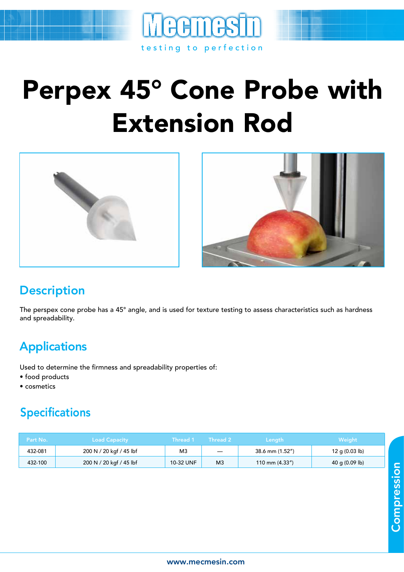

## Perpex 45° Cone Probe with Extension Rod





## **Description**

The perspex cone probe has a 45° angle, and is used for texture testing to assess characteristics such as hardness and spreadability.

## **Applications**

Used to determine the firmness and spreadability properties of:

- food products
- cosmetics

## Specifications

| Part No. | <b>Load Capacity</b>    | Thread 1  | <b>Thread 2</b>          | <b>Length</b>    | Weight                   |
|----------|-------------------------|-----------|--------------------------|------------------|--------------------------|
| 432-081  | 200 N / 20 kgf / 45 lbf | M3        | $\overline{\phantom{m}}$ | 38.6 mm (1.52")  | 12 g $(0.03 \text{ lb})$ |
| 432-100  | 200 N / 20 kgf / 45 lbf | 10-32 UNF | M <sub>3</sub>           | 110 mm $(4.33")$ | 40 g $(0.09 \text{ lb})$ |

Compression **Compression**